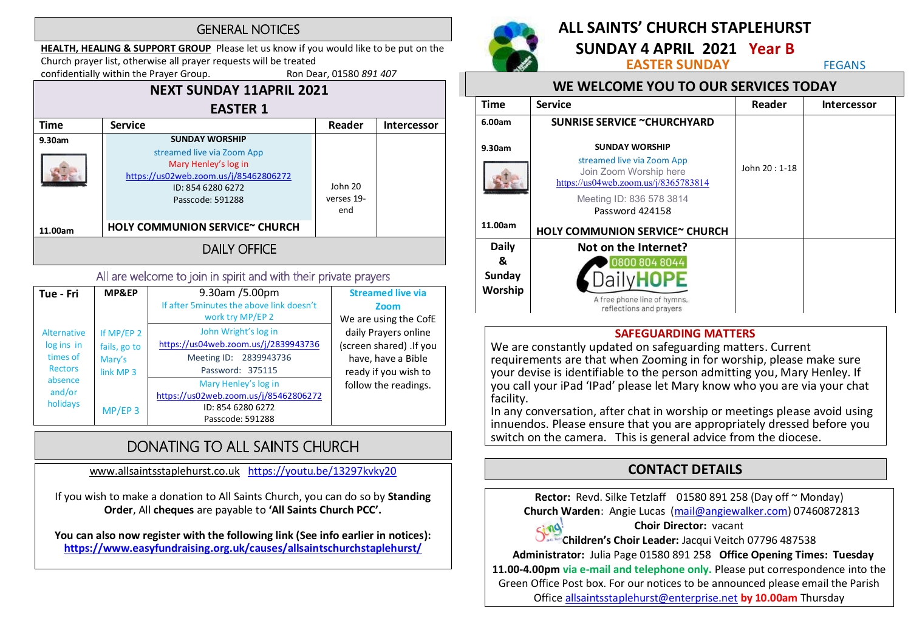#### **GENERAL NOTICES**

HEALTH, HEALING & SUPPORT GROUP Please let us know if you would like to be put on the Church prayer list, otherwise all prayer requests will be treated<br>confidentially within the Prayer Group. Ron Dear, 01580 891 407

confidentially within the Prayer Group.

#### NEXT SUNDAY 11APRIL 2021 EASTER 1 Time Service Reader Intercessor 9.30am SUNDAY WORSHIP streamed live via Zoom App Mary Henley's log in https://us02web.zoom.us/j/85462806272 ID: 854 6280 6272 John 20 Passcode: 591288 verses 19 end HOLY COMMUNION SERVICE~ CHURCH 11.00am **DAILY OFFICE**

#### All are welcome to join in spirit and with their private prayers

| Tue - Fri                                                                                       | MP&EP                                                                     | 9.30am /5.00pm                                                                                             | <b>Streamed live via</b>                                                                      |
|-------------------------------------------------------------------------------------------------|---------------------------------------------------------------------------|------------------------------------------------------------------------------------------------------------|-----------------------------------------------------------------------------------------------|
|                                                                                                 |                                                                           | If after 5 minutes the above link doesn't<br>work try MP/EP 2                                              | Zoom<br>We are using the CofE                                                                 |
| <b>Alternative</b><br>log ins in<br>times of<br><b>Rectors</b><br>absence<br>and/or<br>holidays | If MP/EP 2<br>fails, go to<br>Mary's<br>link MP <sub>3</sub><br>$MP/EP$ 3 | John Wright's log in<br>https://us04web.zoom.us/j/2839943736<br>Meeting ID: 2839943736<br>Password: 375115 | daily Prayers online<br>(screen shared) .If you<br>have, have a Bible<br>ready if you wish to |
|                                                                                                 |                                                                           | Mary Henley's log in<br>https://us02web.zoom.us/j/85462806272<br>ID: 854 6280 6272<br>Passcode: 591288     | follow the readings.                                                                          |

# DONATING TO ALL SAINTS CHURCH

www.allsaintsstaplehurst.co.uk https://youtu.be/13297kvky20

If you wish to make a donation to All Saints Church, you can do so by Standing Order, All cheques are payable to 'All Saints Church PCC'.

You can also now register with the following link (See info earlier in notices): https://www.easyfundraising.org.uk/causes/allsaintschurchstaplehurst/



# ALL SAINTS' CHURCH STAPI FHURST

**SUNDAY 4 APRIL 2021 Year B**<br>**EASTER SUNDAY** FEGANS

## WE WELCOME YOU TO OUR SERVICES TODAY

| <b>Time</b>       | <b>Service</b>                                                 | Reader        | <b>Intercessor</b> |
|-------------------|----------------------------------------------------------------|---------------|--------------------|
| 6.00am            | <b>SUNRISE SERVICE ~CHURCHYARD</b>                             |               |                    |
| 9.30am            | <b>SUNDAY WORSHIP</b><br>streamed live via Zoom App            |               |                    |
|                   | Join Zoom Worship here<br>https://us04web.zoom.us/j/8365783814 | John 20: 1-18 |                    |
|                   | Meeting ID: 836 578 3814<br>Password 424158                    |               |                    |
| 11.00am           | HOLY COMMUNION SERVICE~ CHURCH                                 |               |                    |
| <b>Daily</b>      | Not on the Internet?                                           |               |                    |
| &                 | 0800 804 8044                                                  |               |                    |
| Sunday<br>Worship |                                                                |               |                    |
|                   | A free phone line of hymns,<br>reflections and prayers         |               |                    |

#### SAFEGUARDING MATTERS

We are constantly updated on safeguarding matters. Current requirements are that when Zooming in for worship, please make sure your devise is identifiable to the person admitting you, Mary Henley. If you call your iPad 'IPad' please let Mary know who you are via your chat facility.

In any conversation, after chat in worship or meetings please avoid using innuendos. Please ensure that you are appropriately dressed before you switch on the camera. This is general advice from the diocese.

# CONTACT DETAILS

Rector: Revd. Silke Tetzlaff 01580 891 258 (Day off ~ Monday) Church Warden: Angie Lucas (mail@angiewalker.com) 07460872813

#### Choir Director: vacant

sing. Children's Choir Leader: Jacqui Veitch 07796 487538

Administrator: Julia Page 01580 891 258 Office Opening Times: Tuesday

11.00-4.00pm via e-mail and telephone only. Please put correspondence into the Green Office Post box. For our notices to be announced please email the Parish

Office allsaintsstaplehurst@enterprise.net by 10.00am Thursday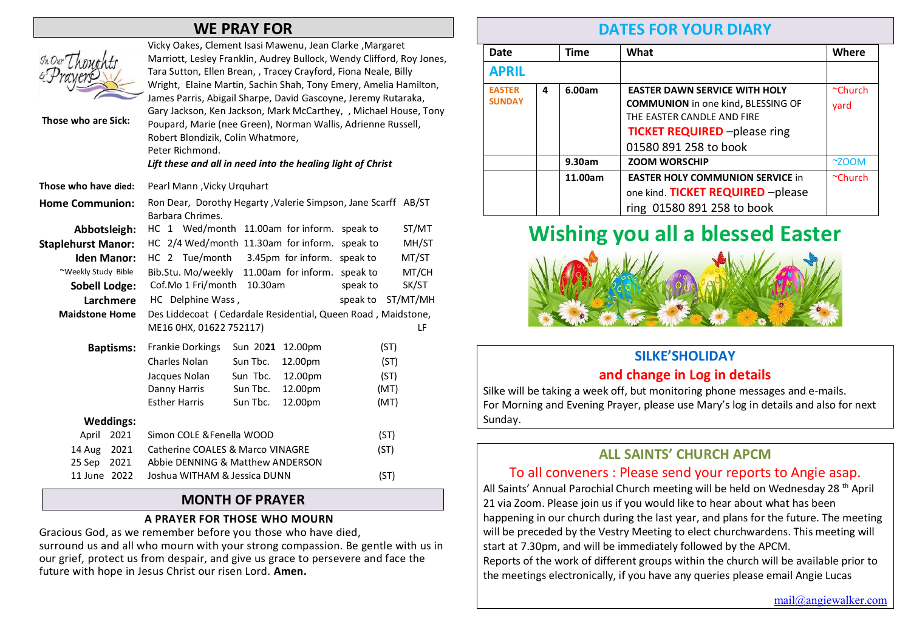# WE PRAY FOR

| JnDurLh<br>Those who are Sick: | Vicky Oakes, Clement Isasi Mawenu, Jean Clarke, Margaret<br>Marriott, Lesley Franklin, Audrey Bullock, Wendy Clifford, Roy Jones,<br>Tara Sutton, Ellen Brean, , Tracey Crayford, Fiona Neale, Billy<br>Wright, Elaine Martin, Sachin Shah, Tony Emery, Amelia Hamilton,<br>James Parris, Abigail Sharpe, David Gascoyne, Jeremy Rutaraka,<br>Gary Jackson, Ken Jackson, Mark McCarthey, , Michael House, Tony<br>Poupard, Marie (nee Green), Norman Wallis, Adrienne Russell,<br>Robert Blondizik, Colin Whatmore,<br>Peter Richmond.<br>Lift these and all in need into the healing light of Christ |  |  |  |
|--------------------------------|-------------------------------------------------------------------------------------------------------------------------------------------------------------------------------------------------------------------------------------------------------------------------------------------------------------------------------------------------------------------------------------------------------------------------------------------------------------------------------------------------------------------------------------------------------------------------------------------------------|--|--|--|
| Those who have died:           | Pearl Mann, Vicky Urquhart                                                                                                                                                                                                                                                                                                                                                                                                                                                                                                                                                                            |  |  |  |
| <b>Home Communion:</b>         | Ron Dear, Dorothy Hegarty, Valerie Simpson, Jane Scarff AB/ST<br>Barbara Chrimes.                                                                                                                                                                                                                                                                                                                                                                                                                                                                                                                     |  |  |  |
| Abbotsleigh:                   | HC 1 Wed/month 11.00am for inform.<br>ST/MT<br>speak to                                                                                                                                                                                                                                                                                                                                                                                                                                                                                                                                               |  |  |  |
| <b>Staplehurst Manor:</b>      | HC 2/4 Wed/month 11.30am for inform.<br>speak to<br>MH/ST                                                                                                                                                                                                                                                                                                                                                                                                                                                                                                                                             |  |  |  |
| <b>Iden Manor:</b>             | HC 2 Tue/month<br>3.45pm for inform. speak to<br>MT/ST                                                                                                                                                                                                                                                                                                                                                                                                                                                                                                                                                |  |  |  |
| ~Weekly Study Bible            | Bib.Stu. Mo/weekly<br>11.00am for inform. speak to<br>MT/CH                                                                                                                                                                                                                                                                                                                                                                                                                                                                                                                                           |  |  |  |
| <b>Sobell Lodge:</b>           | Cof.Mo 1 Fri/month<br>10.30am<br>SK/ST<br>speak to                                                                                                                                                                                                                                                                                                                                                                                                                                                                                                                                                    |  |  |  |
| Larchmere                      | HC Delphine Wass,<br>speak to<br>ST/MT/MH                                                                                                                                                                                                                                                                                                                                                                                                                                                                                                                                                             |  |  |  |
| <b>Maidstone Home</b>          | Des Liddecoat (Cedardale Residential, Queen Road, Maidstone,<br>ME16 0HX, 01622 752117)<br>LF                                                                                                                                                                                                                                                                                                                                                                                                                                                                                                         |  |  |  |
| <b>Baptisms:</b>               | <b>Frankie Dorkings</b><br>Sun 2021 12.00pm<br>(ST)                                                                                                                                                                                                                                                                                                                                                                                                                                                                                                                                                   |  |  |  |
|                                | <b>Charles Nolan</b><br>Sun Tbc.<br>12.00pm<br>(ST)                                                                                                                                                                                                                                                                                                                                                                                                                                                                                                                                                   |  |  |  |
|                                | Sun Tbc.<br>Jacques Nolan<br>12.00pm<br>(ST)                                                                                                                                                                                                                                                                                                                                                                                                                                                                                                                                                          |  |  |  |
|                                | Danny Harris<br>Sun Tbc.<br>12.00pm<br>(MT)                                                                                                                                                                                                                                                                                                                                                                                                                                                                                                                                                           |  |  |  |
|                                | <b>Esther Harris</b><br>Sun Tbc.<br>(MT)<br>12.00pm                                                                                                                                                                                                                                                                                                                                                                                                                                                                                                                                                   |  |  |  |
| <b>Weddings:</b>               |                                                                                                                                                                                                                                                                                                                                                                                                                                                                                                                                                                                                       |  |  |  |
| 2021<br>April                  | Simon COLE & Fenella WOOD<br>(ST)                                                                                                                                                                                                                                                                                                                                                                                                                                                                                                                                                                     |  |  |  |
| 2021<br>14 Aug                 | Catherine COALES & Marco VINAGRE<br>(ST)                                                                                                                                                                                                                                                                                                                                                                                                                                                                                                                                                              |  |  |  |
| 25 Sep<br>2021                 | Abbie DENNING & Matthew ANDERSON                                                                                                                                                                                                                                                                                                                                                                                                                                                                                                                                                                      |  |  |  |
| 11 June 2022                   | Joshua WITHAM & Jessica DUNN<br>(ST)                                                                                                                                                                                                                                                                                                                                                                                                                                                                                                                                                                  |  |  |  |

#### MONTH OF PRAYER

#### A PRAYER FOR THOSE WHO MOURN

Gracious God, as we remember before you those who have died, surround us and all who mourn with your strong compassion. Be gentle with us in our grief, protect us from despair, and give us grace to persevere and face the future with hope in Jesus Christ our risen Lord. Amen.

## DATES FOR YOUR DIARY

| <b>Date</b>   |   | <b>Time</b> | What                                      | Where        |
|---------------|---|-------------|-------------------------------------------|--------------|
| <b>APRIL</b>  |   |             |                                           |              |
| <b>EASTER</b> | 4 | 6.00am      | <b>EASTER DAWN SERVICE WITH HOLY</b>      | $~$ Church   |
| <b>SUNDAY</b> |   |             | <b>COMMUNION</b> in one kind, BLESSING OF | vard         |
|               |   |             | THE EASTER CANDLE AND FIRE                |              |
|               |   |             | <b>TICKET REQUIRED</b> -please ring       |              |
|               |   |             | 01580 891 258 to book                     |              |
|               |   | 9.30am      | <b>ZOOM WORSCHIP</b>                      | $~\sim$ ZOOM |
|               |   | 11.00am     | <b>EASTER HOLY COMMUNION SERVICE in</b>   | $~$ Church   |
|               |   |             | one kind. TICKET REQUIRED - please        |              |
|               |   |             | ring 01580 891 258 to book                |              |

# Wishing you all a blessed Easter



# **SILKF'SHOLIDAY**

#### and change in Log in details

Silke will be taking a week off, but monitoring phone messages and e-mails. For Morning and Evening Prayer, please use Mary's log in details and also for next Sunday.

#### **ALL SAINTS' CHURCH APCM**

#### To all conveners : Please send your reports to Angie asap.

All Saints' Annual Parochial Church meeting will be held on Wednesday 28<sup>th</sup> April 21 via Zoom. Please join us if you would like to hear about what has been happening in our church during the last year, and plans for the future. The meeting will be preceded by the Vestry Meeting to elect churchwardens. This meeting will start at 7.30pm, and will be immediately followed by the APCM.

Reports of the work of different groups within the church will be available prior to the meetings electronically, if you have any queries please email Angie Lucas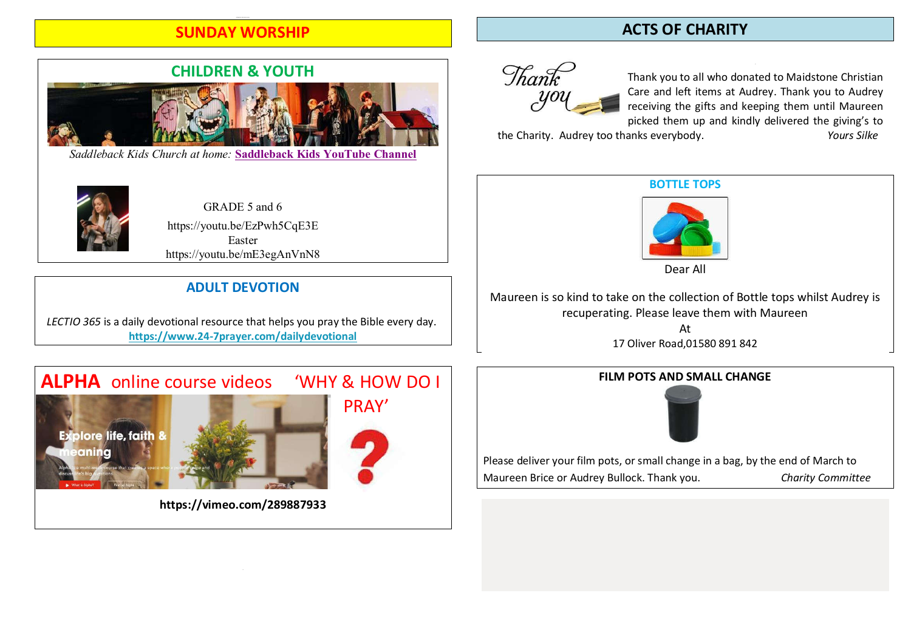# SUNDAY WORSHIP

# CHILDREN & YOUTH

*Saddleback Kids Church at home:* **Saddleback Kids YouTube Channel**



GRADE 5 and 6 https://youtu.be/EzPwh5CqE3E Easter https://youtu.be/mE3egAnVnN8

## ADULT DEVOTION

LECTIO 365 is a daily devotional resource that helps you pray the Bible every day. https://www.24-7prayer.com/dailydevotional

# ALPHA online course videos WHY & HOW DO I





https://vimeo.com/289887933

# ACTS OF CHARITY



Thank you to all who donated to Maidstone Christian Care and left items at Audrey. Thank you to Audrey receiving the gifts and keeping them until Maureen picked them up and kindly delivered the giving's to<br>anks everybody<br>Yours Silke

the Charity. Audrey too thanks everybody.



Dear All

Maureen is so kind to take on the collection of Bottle tops whilst Audrey is recuperating. Please leave them with Maureen

> At 17 Oliver Road,01580 891 842

#### FILM POTS AND SMALL CHANGE



Please deliver your film pots, or small change in a bag, by the end of March to Maureen Brice or Audrey Bullock. Thank you. Charity Committee